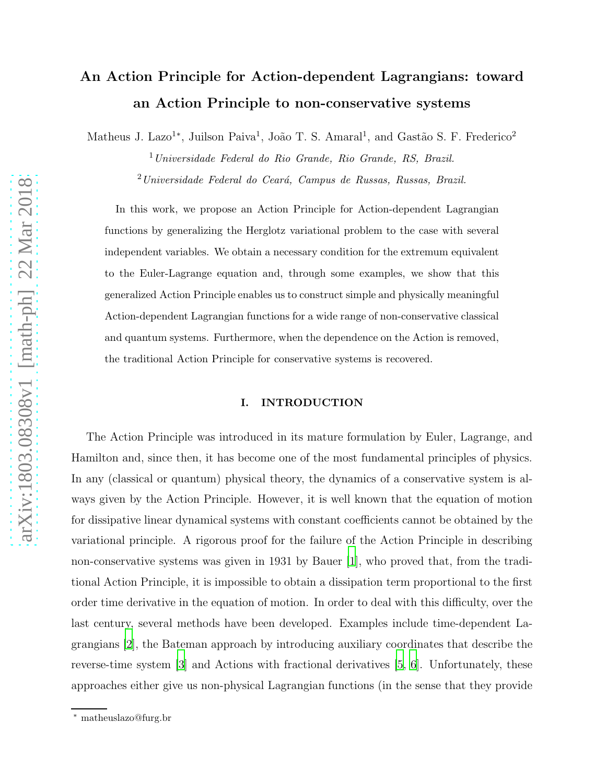# An Action Principle for Action-dependent Lagrangians: toward an Action Principle to non-conservative systems

Matheus J. Lazo<sup>1</sup><sup>\*</sup>, Juilson Paiva<sup>1</sup>, João T. S. Amaral<sup>1</sup>, and Gastão S. F. Frederico<sup>2</sup>

<sup>1</sup>Universidade Federal do Rio Grande, Rio Grande, RS, Brazil.  $2$ Universidade Federal do Ceará, Campus de Russas, Russas, Brazil.

In this work, we propose an Action Principle for Action-dependent Lagrangian functions by generalizing the Herglotz variational problem to the case with several independent variables. We obtain a necessary condition for the extremum equivalent to the Euler-Lagrange equation and, through some examples, we show that this generalized Action Principle enables us to construct simple and physically meaningful Action-dependent Lagrangian functions for a wide range of non-conservative classical and quantum systems. Furthermore, when the dependence on the Action is removed, the traditional Action Principle for conservative systems is recovered.

## I. INTRODUCTION

The Action Principle was introduced in its mature formulation by Euler, Lagrange, and Hamilton and, since then, it has become one of the most fundamental principles of physics. In any (classical or quantum) physical theory, the dynamics of a conservative system is always given by the Action Principle. However, it is well known that the equation of motion for dissipative linear dynamical systems with constant coefficients cannot be obtained by the variational principle. A rigorous proof for the failure of the Action Principle in describing non-conservative systems was given in 1931 by Bauer [\[1](#page-13-0)], who proved that, from the traditional Action Principle, it is impossible to obtain a dissipation term proportional to the first order time derivative in the equation of motion. In order to deal with this difficulty, over the last century, several methods have been developed. Examples include time-dependent Lagrangians [\[2\]](#page-13-1), the Bateman approach by introducing auxiliary coordinates that describe the reverse-time system [\[3](#page-13-2)] and Actions with fractional derivatives [\[5,](#page-13-3) [6\]](#page-13-4). Unfortunately, these approaches either give us non-physical Lagrangian functions (in the sense that they provide

<sup>∗</sup> matheuslazo@furg.br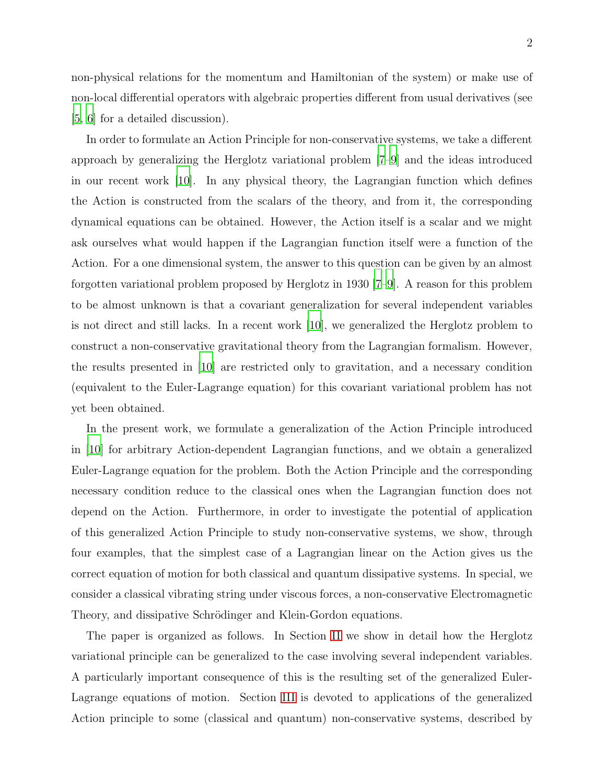non-physical relations for the momentum and Hamiltonian of the system) or make use of non-local differential operators with algebraic properties different from usual derivatives (see [\[5](#page-13-3), [6](#page-13-4)] for a detailed discussion).

In order to formulate an Action Principle for non-conservative systems, we take a different approach by generalizing the Herglotz variational problem [\[7](#page-13-5)[–9\]](#page-13-6) and the ideas introduced in our recent work [\[10\]](#page-13-7). In any physical theory, the Lagrangian function which defines the Action is constructed from the scalars of the theory, and from it, the corresponding dynamical equations can be obtained. However, the Action itself is a scalar and we might ask ourselves what would happen if the Lagrangian function itself were a function of the Action. For a one dimensional system, the answer to this question can be given by an almost forgotten variational problem proposed by Herglotz in 1930 [\[7](#page-13-5)[–9](#page-13-6)]. A reason for this problem to be almost unknown is that a covariant generalization for several independent variables is not direct and still lacks. In a recent work [\[10](#page-13-7)], we generalized the Herglotz problem to construct a non-conservative gravitational theory from the Lagrangian formalism. However, the results presented in [\[10\]](#page-13-7) are restricted only to gravitation, and a necessary condition (equivalent to the Euler-Lagrange equation) for this covariant variational problem has not yet been obtained.

In the present work, we formulate a generalization of the Action Principle introduced in [\[10\]](#page-13-7) for arbitrary Action-dependent Lagrangian functions, and we obtain a generalized Euler-Lagrange equation for the problem. Both the Action Principle and the corresponding necessary condition reduce to the classical ones when the Lagrangian function does not depend on the Action. Furthermore, in order to investigate the potential of application of this generalized Action Principle to study non-conservative systems, we show, through four examples, that the simplest case of a Lagrangian linear on the Action gives us the correct equation of motion for both classical and quantum dissipative systems. In special, we consider a classical vibrating string under viscous forces, a non-conservative Electromagnetic Theory, and dissipative Schrödinger and Klein-Gordon equations.

The paper is organized as follows. In Section [II](#page-2-0) we show in detail how the Herglotz variational principle can be generalized to the case involving several independent variables. A particularly important consequence of this is the resulting set of the generalized Euler-Lagrange equations of motion. Section [III](#page-7-0) is devoted to applications of the generalized Action principle to some (classical and quantum) non-conservative systems, described by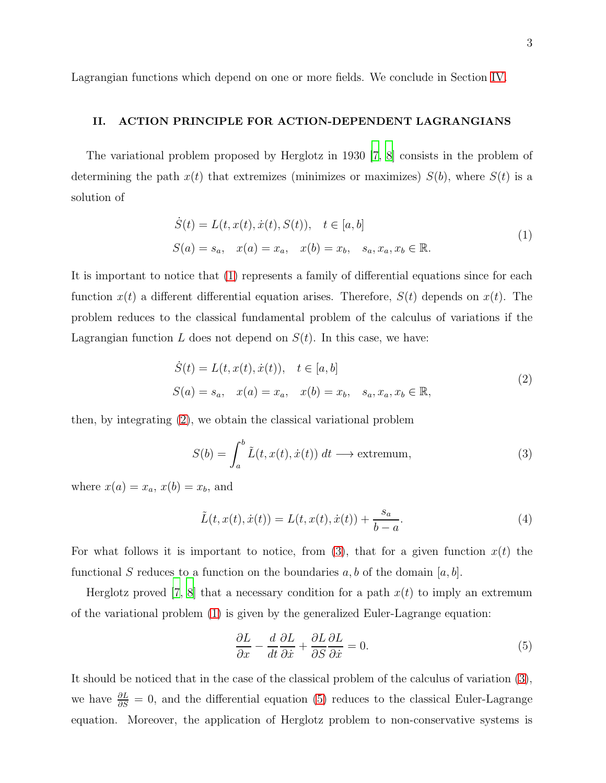Lagrangian functions which depend on one or more fields. We conclude in Section [IV.](#page-12-0)

## <span id="page-2-0"></span>II. ACTION PRINCIPLE FOR ACTION-DEPENDENT LAGRANGIANS

The variational problem proposed by Herglotz in 1930 [\[7,](#page-13-5) [8](#page-13-8)] consists in the problem of determining the path  $x(t)$  that extremizes (minimizes or maximizes)  $S(b)$ , where  $S(t)$  is a solution of

$$
\dot{S}(t) = L(t, x(t), \dot{x}(t), S(t)), \quad t \in [a, b]
$$
  
\n
$$
S(a) = s_a, \quad x(a) = x_a, \quad x(b) = x_b, \quad s_a, x_a, x_b \in \mathbb{R}.
$$
\n(1)

<span id="page-2-1"></span>It is important to notice that [\(1\)](#page-2-1) represents a family of differential equations since for each function  $x(t)$  a different differential equation arises. Therefore,  $S(t)$  depends on  $x(t)$ . The problem reduces to the classical fundamental problem of the calculus of variations if the Lagrangian function L does not depend on  $S(t)$ . In this case, we have:

$$
\dot{S}(t) = L(t, x(t), \dot{x}(t)), \quad t \in [a, b] \nS(a) = s_a, \quad x(a) = x_a, \quad x(b) = x_b, \quad s_a, x_a, x_b \in \mathbb{R},
$$
\n(2)

<span id="page-2-2"></span>then, by integrating [\(2\)](#page-2-2), we obtain the classical variational problem

<span id="page-2-3"></span>
$$
S(b) = \int_{a}^{b} \tilde{L}(t, x(t), \dot{x}(t)) dt \longrightarrow \text{extremum}, \tag{3}
$$

where  $x(a) = x_a, x(b) = x_b$ , and

$$
\tilde{L}(t, x(t), \dot{x}(t)) = L(t, x(t), \dot{x}(t)) + \frac{s_a}{b - a}.
$$
\n(4)

For what follows it is important to notice, from [\(3\)](#page-2-3), that for a given function  $x(t)$  the functional S reduces to a function on the boundaries  $a, b$  of the domain  $[a, b]$ .

Herglotz proved [\[7,](#page-13-5) [8](#page-13-8)] that a necessary condition for a path  $x(t)$  to imply an extremum of the variational problem [\(1\)](#page-2-1) is given by the generalized Euler-Lagrange equation:

<span id="page-2-4"></span>
$$
\frac{\partial L}{\partial x} - \frac{d}{dt} \frac{\partial L}{\partial \dot{x}} + \frac{\partial L}{\partial S} \frac{\partial L}{\partial \dot{x}} = 0.
$$
 (5)

It should be noticed that in the case of the classical problem of the calculus of variation [\(3\)](#page-2-3), we have  $\frac{\partial L}{\partial S} = 0$ , and the differential equation [\(5\)](#page-2-4) reduces to the classical Euler-Lagrange equation. Moreover, the application of Herglotz problem to non-conservative systems is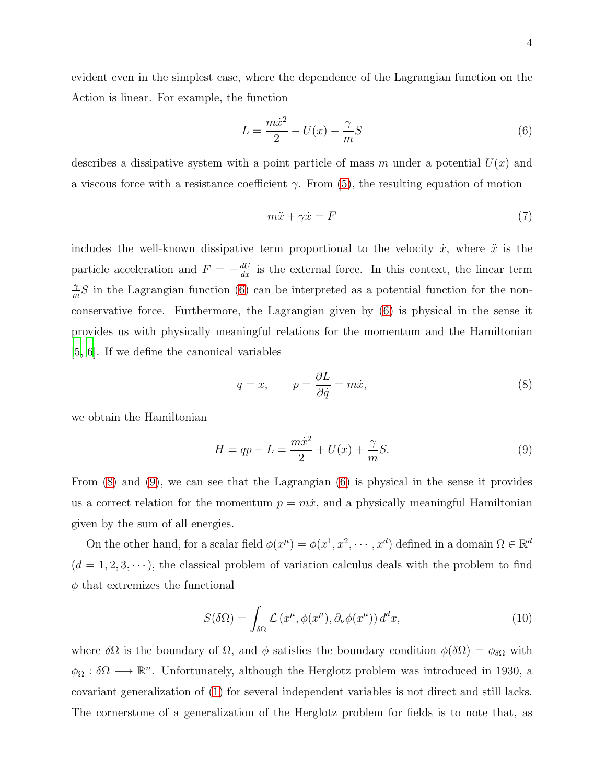evident even in the simplest case, where the dependence of the Lagrangian function on the Action is linear. For example, the function

<span id="page-3-0"></span>
$$
L = \frac{m\dot{x}^2}{2} - U(x) - \frac{\gamma}{m}S\tag{6}
$$

describes a dissipative system with a point particle of mass m under a potential  $U(x)$  and a viscous force with a resistance coefficient  $\gamma$ . From [\(5\)](#page-2-4), the resulting equation of motion

$$
m\ddot{x} + \gamma \dot{x} = F \tag{7}
$$

includes the well-known dissipative term proportional to the velocity  $\dot{x}$ , where  $\ddot{x}$  is the particle acceleration and  $F = -\frac{dU}{dx}$  is the external force. In this context, the linear term γ  $\frac{\gamma}{m}$ S in the Lagrangian function [\(6\)](#page-3-0) can be interpreted as a potential function for the nonconservative force. Furthermore, the Lagrangian given by [\(6\)](#page-3-0) is physical in the sense it provides us with physically meaningful relations for the momentum and the Hamiltonian [\[5](#page-13-3), [6](#page-13-4)]. If we define the canonical variables

<span id="page-3-1"></span>
$$
q = x, \qquad p = \frac{\partial L}{\partial \dot{q}} = m\dot{x}, \tag{8}
$$

we obtain the Hamiltonian

<span id="page-3-2"></span>
$$
H = qp - L = \frac{m\dot{x}^2}{2} + U(x) + \frac{\gamma}{m}S.
$$
 (9)

From [\(8\)](#page-3-1) and [\(9\)](#page-3-2), we can see that the Lagrangian [\(6\)](#page-3-0) is physical in the sense it provides us a correct relation for the momentum  $p = m\dot{x}$ , and a physically meaningful Hamiltonian given by the sum of all energies.

On the other hand, for a scalar field  $\phi(x^{\mu}) = \phi(x^1, x^2, \dots, x^d)$  defined in a domain  $\Omega \in \mathbb{R}^d$  $(d = 1, 2, 3, \dots)$ , the classical problem of variation calculus deals with the problem to find  $\phi$  that extremizes the functional

<span id="page-3-3"></span>
$$
S(\delta\Omega) = \int_{\delta\Omega} \mathcal{L}(x^{\mu}, \phi(x^{\mu}), \partial_{\nu}\phi(x^{\mu})) d^d x,
$$
 (10)

where  $\delta\Omega$  is the boundary of  $\Omega$ , and  $\phi$  satisfies the boundary condition  $\phi(\delta\Omega) = \phi_{\delta\Omega}$  with  $\phi_{\Omega} : \delta\Omega \longrightarrow \mathbb{R}^n$ . Unfortunately, although the Herglotz problem was introduced in 1930, a covariant generalization of [\(1\)](#page-2-1) for several independent variables is not direct and still lacks. The cornerstone of a generalization of the Herglotz problem for fields is to note that, as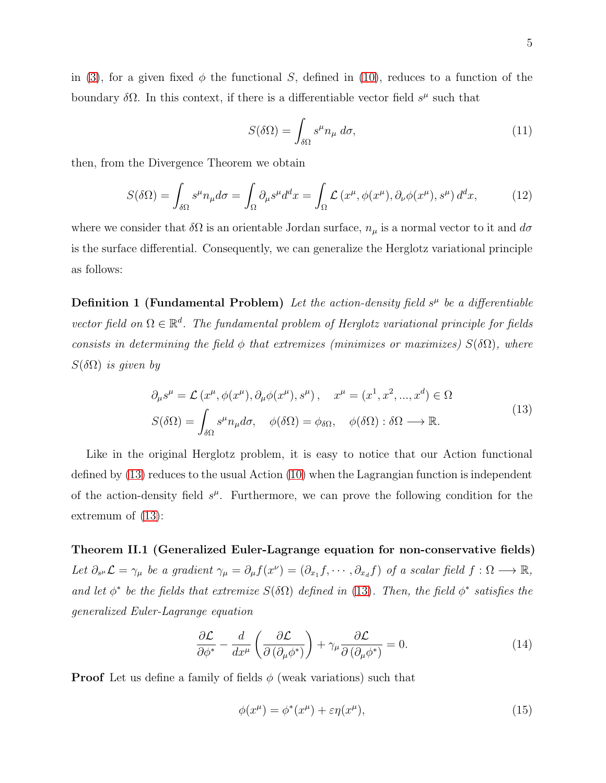in [\(3\)](#page-2-3), for a given fixed  $\phi$  the functional S, defined in [\(10\)](#page-3-3), reduces to a function of the boundary  $\delta\Omega$ . In this context, if there is a differentiable vector field  $s^{\mu}$  such that

$$
S(\delta\Omega) = \int_{\delta\Omega} s^{\mu} n_{\mu} \, d\sigma,\tag{11}
$$

then, from the Divergence Theorem we obtain

$$
S(\delta\Omega) = \int_{\delta\Omega} s^{\mu} n_{\mu} d\sigma = \int_{\Omega} \partial_{\mu} s^{\mu} d^{d}x = \int_{\Omega} \mathcal{L} \left( x^{\mu}, \phi(x^{\mu}), \partial_{\nu} \phi(x^{\mu}), s^{\mu} \right) d^{d}x, \tag{12}
$$

<span id="page-4-3"></span>where we consider that  $\delta\Omega$  is an orientable Jordan surface,  $n_{\mu}$  is a normal vector to it and  $d\sigma$ is the surface differential. Consequently, we can generalize the Herglotz variational principle as follows:

**Definition 1 (Fundamental Problem)** Let the action-density field  $s^{\mu}$  be a differentiable vector field on  $\Omega \in \mathbb{R}^d$ . The fundamental problem of Herglotz variational principle for fields consists in determining the field  $\phi$  that extremizes (minimizes or maximizes)  $S(\delta\Omega)$ , where  $S(\delta\Omega)$  is given by

$$
\partial_{\mu}s^{\mu} = \mathcal{L}(x^{\mu}, \phi(x^{\mu}), \partial_{\mu}\phi(x^{\mu}), s^{\mu}), \quad x^{\mu} = (x^1, x^2, ..., x^d) \in \Omega
$$
  

$$
S(\delta\Omega) = \int_{\delta\Omega} s^{\mu}n_{\mu}d\sigma, \quad \phi(\delta\Omega) = \phi_{\delta\Omega}, \quad \phi(\delta\Omega) : \delta\Omega \longrightarrow \mathbb{R}.
$$
 (13)

<span id="page-4-0"></span>Like in the original Herglotz problem, it is easy to notice that our Action functional defined by [\(13\)](#page-4-0) reduces to the usual Action [\(10\)](#page-3-3) when the Lagrangian function is independent of the action-density field  $s^{\mu}$ . Furthermore, we can prove the following condition for the extremum of [\(13\)](#page-4-0):

<span id="page-4-2"></span>Theorem II.1 (Generalized Euler-Lagrange equation for non-conservative fields) Let  $\partial_{s^{\mu}}\mathcal{L}=\gamma_{\mu}$  be a gradient  $\gamma_{\mu}=\partial_{\mu}f(x^{\nu})=(\partial_{x_1}f,\cdots,\partial_{x_d}f)$  of a scalar field  $f:\Omega\longrightarrow\mathbb{R}$ , and let  $\phi^*$  be the fields that extremize  $S(\delta \Omega)$  defined in [\(13\)](#page-4-0). Then, the field  $\phi^*$  satisfies the generalized Euler-Lagrange equation

<span id="page-4-1"></span>
$$
\frac{\partial \mathcal{L}}{\partial \phi^*} - \frac{d}{dx^\mu} \left( \frac{\partial \mathcal{L}}{\partial (\partial_\mu \phi^*)} \right) + \gamma_\mu \frac{\partial \mathcal{L}}{\partial (\partial_\mu \phi^*)} = 0. \tag{14}
$$

**Proof** Let us define a family of fields  $\phi$  (weak variations) such that

$$
\phi(x^{\mu}) = \phi^*(x^{\mu}) + \varepsilon \eta(x^{\mu}), \qquad (15)
$$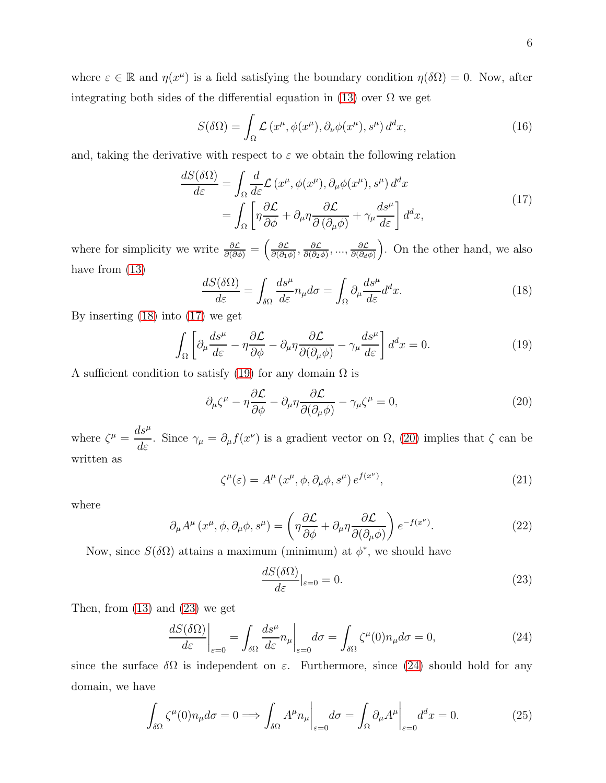where  $\varepsilon \in \mathbb{R}$  and  $\eta(x^{\mu})$  is a field satisfying the boundary condition  $\eta(\delta\Omega) = 0$ . Now, after integrating both sides of the differential equation in [\(13\)](#page-4-0) over  $\Omega$  we get

$$
S(\delta\Omega) = \int_{\Omega} \mathcal{L}(x^{\mu}, \phi(x^{\mu}), \partial_{\nu}\phi(x^{\mu}), s^{\mu}) d^{d}x, \qquad (16)
$$

<span id="page-5-1"></span>and, taking the derivative with respect to  $\varepsilon$  we obtain the following relation

$$
\frac{dS(\delta\Omega)}{d\varepsilon} = \int_{\Omega} \frac{d}{d\varepsilon} \mathcal{L}\left(x^{\mu}, \phi(x^{\mu}), \partial_{\mu}\phi(x^{\mu}), s^{\mu}\right) d^{d}x \n= \int_{\Omega} \left[ \eta \frac{\partial \mathcal{L}}{\partial \phi} + \partial_{\mu}\eta \frac{\partial \mathcal{L}}{\partial(\partial_{\mu}\phi)} + \gamma_{\mu} \frac{ds^{\mu}}{d\varepsilon} \right] d^{d}x,
$$
\n(17)

where for simplicity we write  $\frac{\partial \mathcal{L}}{\partial(\partial \phi)} = \left(\frac{\partial \mathcal{L}}{\partial(\partial_1 \phi)}\right)$  $\frac{\partial \mathcal{L}}{\partial(\partial_1\phi)}, \frac{\partial \mathcal{L}}{\partial(\partial_2\phi)}$  $\frac{\partial \mathcal{L}}{\partial(\partial_2 \phi)}, \dots, \frac{\partial \mathcal{L}}{\partial(\partial_d \phi)}$  $\partial(\partial_d\phi)$  . On the other hand, we also have from [\(13\)](#page-4-0)

<span id="page-5-0"></span>
$$
\frac{dS(\delta\Omega)}{d\varepsilon} = \int_{\delta\Omega} \frac{ds^{\mu}}{d\varepsilon} n_{\mu} d\sigma = \int_{\Omega} \partial_{\mu} \frac{ds^{\mu}}{d\varepsilon} d^{d}x. \tag{18}
$$

By inserting [\(18\)](#page-5-0) into [\(17\)](#page-5-1) we get

<span id="page-5-2"></span>
$$
\int_{\Omega} \left[ \partial_{\mu} \frac{ds^{\mu}}{d\varepsilon} - \eta \frac{\partial \mathcal{L}}{\partial \phi} - \partial_{\mu} \eta \frac{\partial \mathcal{L}}{\partial(\partial_{\mu} \phi)} - \gamma_{\mu} \frac{ds^{\mu}}{d\varepsilon} \right] d^{d}x = 0.
$$
\n(19)

A sufficient condition to satisfy [\(19\)](#page-5-2) for any domain  $\Omega$  is

<span id="page-5-3"></span>
$$
\partial_{\mu}\zeta^{\mu} - \eta \frac{\partial \mathcal{L}}{\partial \phi} - \partial_{\mu}\eta \frac{\partial \mathcal{L}}{\partial(\partial_{\mu}\phi)} - \gamma_{\mu}\zeta^{\mu} = 0, \qquad (20)
$$

where  $\zeta^{\mu} =$  $ds^{\mu}$  $\frac{dS}{d\varepsilon}$ . Since  $\gamma_{\mu} = \partial_{\mu} f(x^{\nu})$  is a gradient vector on  $\Omega$ , [\(20\)](#page-5-3) implies that  $\zeta$  can be written as

$$
\zeta^{\mu}(\varepsilon) = A^{\mu} (x^{\mu}, \phi, \partial_{\mu} \phi, s^{\mu}) e^{f(x^{\nu})}, \qquad (21)
$$

where

<span id="page-5-6"></span>
$$
\partial_{\mu}A^{\mu}(x^{\mu}, \phi, \partial_{\mu}\phi, s^{\mu}) = \left(\eta \frac{\partial \mathcal{L}}{\partial \phi} + \partial_{\mu}\eta \frac{\partial \mathcal{L}}{\partial(\partial_{\mu}\phi)}\right) e^{-f(x^{\nu})}.
$$
\n(22)

Now, since  $S(\delta\Omega)$  attains a maximum (minimum) at  $\phi^*$ , we should have

<span id="page-5-4"></span>
$$
\frac{dS(\delta\Omega)}{d\varepsilon}|_{\varepsilon=0} = 0.\tag{23}
$$

Then, from  $(13)$  and  $(23)$  we get

<span id="page-5-5"></span>
$$
\left. \frac{dS(\delta\Omega)}{d\varepsilon} \right|_{\varepsilon=0} = \int_{\delta\Omega} \frac{ds^{\mu}}{d\varepsilon} n_{\mu} \bigg|_{\varepsilon=0} d\sigma = \int_{\delta\Omega} \zeta^{\mu}(0) n_{\mu} d\sigma = 0, \tag{24}
$$

since the surface  $\delta\Omega$  is independent on  $\varepsilon$ . Furthermore, since [\(24\)](#page-5-5) should hold for any domain, we have

<span id="page-5-7"></span>
$$
\int_{\delta\Omega} \zeta^{\mu}(0) n_{\mu} d\sigma = 0 \Longrightarrow \int_{\delta\Omega} A^{\mu} n_{\mu} \bigg|_{\varepsilon=0} d\sigma = \int_{\Omega} \partial_{\mu} A^{\mu} \bigg|_{\varepsilon=0} d^{d} x = 0. \tag{25}
$$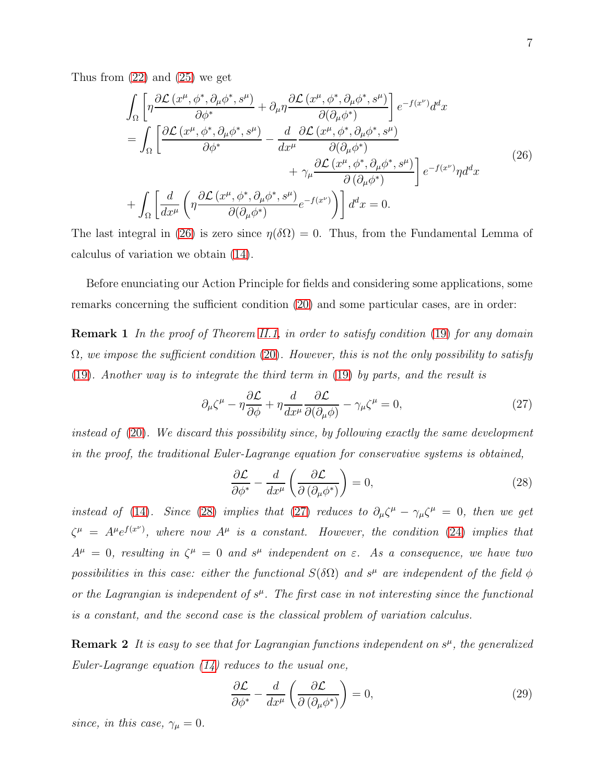<span id="page-6-0"></span>Thus from  $(22)$  and  $(25)$  we get

$$
\int_{\Omega} \left[ \eta \frac{\partial \mathcal{L} \left( x^{\mu}, \phi^*, \partial_{\mu} \phi^*, s^{\mu} \right)}{\partial \phi^*} + \partial_{\mu} \eta \frac{\partial \mathcal{L} \left( x^{\mu}, \phi^*, \partial_{\mu} \phi^*, s^{\mu} \right)}{\partial (\partial_{\mu} \phi^*)} \right] e^{-f(x^{\nu})} d^d x \n= \int_{\Omega} \left[ \frac{\partial \mathcal{L} \left( x^{\mu}, \phi^*, \partial_{\mu} \phi^*, s^{\mu} \right)}{\partial \phi^*} - \frac{d}{dx^{\mu}} \frac{\partial \mathcal{L} \left( x^{\mu}, \phi^*, \partial_{\mu} \phi^*, s^{\mu} \right)}{\partial (\partial_{\mu} \phi^*)} + \gamma_{\mu} \frac{\partial \mathcal{L} \left( x^{\mu}, \phi^*, \partial_{\mu} \phi^*, s^{\mu} \right)}{\partial (\partial_{\mu} \phi^*)} \right] e^{-f(x^{\nu})} \eta d^d x \n+ \int_{\Omega} \left[ \frac{d}{dx^{\mu}} \left( \eta \frac{\partial \mathcal{L} \left( x^{\mu}, \phi^*, \partial_{\mu} \phi^*, s^{\mu} \right)}{\partial (\partial_{\mu} \phi^*)} e^{-f(x^{\nu})} \right) \right] d^d x = 0.
$$
\n(26)

The last integral in [\(26\)](#page-6-0) is zero since  $\eta(\delta\Omega) = 0$ . Thus, from the Fundamental Lemma of calculus of variation we obtain [\(14\)](#page-4-1).

Before enunciating our Action Principle for fields and considering some applications, some remarks concerning the sufficient condition [\(20\)](#page-5-3) and some particular cases, are in order:

**Remark 1** In the proof of Theorem [II.1,](#page-4-2) in order to satisfy condition [\(19\)](#page-5-2) for any domain  $\Omega$ , we impose the sufficient condition [\(20\)](#page-5-3). However, this is not the only possibility to satisfy [\(19\)](#page-5-2). Another way is to integrate the third term in [\(19\)](#page-5-2) by parts, and the result is

<span id="page-6-2"></span>
$$
\partial_{\mu}\zeta^{\mu} - \eta \frac{\partial \mathcal{L}}{\partial \phi} + \eta \frac{d}{dx^{\mu}} \frac{\partial \mathcal{L}}{\partial(\partial_{\mu}\phi)} - \gamma_{\mu}\zeta^{\mu} = 0, \qquad (27)
$$

instead of [\(20\)](#page-5-3). We discard this possibility since, by following exactly the same development in the proof, the traditional Euler-Lagrange equation for conservative systems is obtained,

<span id="page-6-1"></span>
$$
\frac{\partial \mathcal{L}}{\partial \phi^*} - \frac{d}{dx^{\mu}} \left( \frac{\partial \mathcal{L}}{\partial \left( \partial_{\mu} \phi^* \right)} \right) = 0, \tag{28}
$$

instead of [\(14\)](#page-4-1). Since [\(28\)](#page-6-1) implies that [\(27\)](#page-6-2) reduces to  $\partial_{\mu}\zeta^{\mu} - \gamma_{\mu}\zeta^{\mu} = 0$ , then we get  $\zeta^{\mu} = A^{\mu}e^{f(x^{\nu})}$ , where now  $A^{\mu}$  is a constant. However, the condition [\(24\)](#page-5-5) implies that  $A^{\mu} = 0$ , resulting in  $\zeta^{\mu} = 0$  and  $s^{\mu}$  independent on  $\varepsilon$ . As a consequence, we have two possibilities in this case: either the functional  $S(\delta\Omega)$  and  $s^{\mu}$  are independent of the field  $\phi$ or the Lagrangian is independent of  $s^{\mu}$ . The first case in not interesting since the functional is a constant, and the second case is the classical problem of variation calculus.

**Remark 2** It is easy to see that for Lagrangian functions independent on  $s^{\mu}$ , the generalized Euler-Lagrange equation  $(14)$  reduces to the usual one,

$$
\frac{\partial \mathcal{L}}{\partial \phi^*} - \frac{d}{dx^{\mu}} \left( \frac{\partial \mathcal{L}}{\partial \left( \partial_{\mu} \phi^* \right)} \right) = 0, \tag{29}
$$

since, in this case,  $\gamma_{\mu} = 0$ .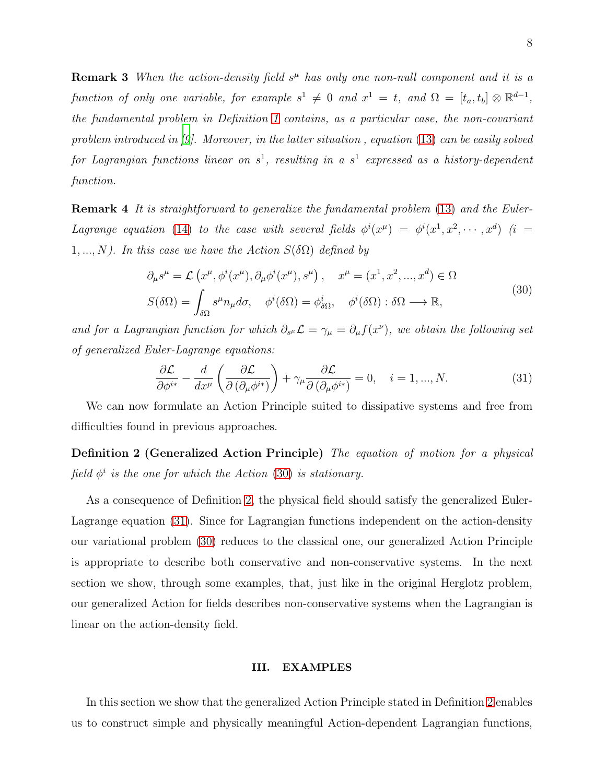**Remark 3** When the action-density field  $s<sup>\mu</sup>$  has only one non-null component and it is a function of only one variable, for example  $s^1 \neq 0$  and  $x^1 = t$ , and  $\Omega = [t_a, t_b] \otimes \mathbb{R}^{d-1}$ , the fundamental problem in Definition [1](#page-4-3) contains, as a particular case, the non-covariant problem introduced in  $[9]$ . Moreover, in the latter situation, equation [\(13\)](#page-4-0) can be easily solved for Lagrangian functions linear on  $s^1$ , resulting in a  $s^1$  expressed as a history-dependent function.

**Remark 4** It is straightforward to generalize the fundamental problem [\(13\)](#page-4-0) and the Euler-Lagrange equation [\(14\)](#page-4-1) to the case with several fields  $\phi^i(x^{\mu}) = \phi^i(x^1, x^2, \dots, x^d)$  (i =  $1, ..., N$ ). In this case we have the Action  $S(\delta \Omega)$  defined by

$$
\partial_{\mu}s^{\mu} = \mathcal{L}\left(x^{\mu}, \phi^{i}(x^{\mu}), \partial_{\mu}\phi^{i}(x^{\mu}), s^{\mu}\right), \quad x^{\mu} = (x^{1}, x^{2}, ..., x^{d}) \in \Omega
$$
\n
$$
S(\delta\Omega) = \int_{\delta\Omega} s^{\mu}n_{\mu}d\sigma, \quad \phi^{i}(\delta\Omega) = \phi^{i}_{\delta\Omega}, \quad \phi^{i}(\delta\Omega) : \delta\Omega \longrightarrow \mathbb{R},
$$
\n(30)

<span id="page-7-1"></span>and for a Lagrangian function for which  $\partial_{s^\mu} \mathcal{L} = \gamma_\mu = \partial_\mu f(x^\nu)$ , we obtain the following set of generalized Euler-Lagrange equations:

<span id="page-7-3"></span><span id="page-7-2"></span>
$$
\frac{\partial \mathcal{L}}{\partial \phi^{i*}} - \frac{d}{dx^{\mu}} \left( \frac{\partial \mathcal{L}}{\partial (\partial_{\mu} \phi^{i*})} \right) + \gamma_{\mu} \frac{\partial \mathcal{L}}{\partial (\partial_{\mu} \phi^{i*})} = 0, \quad i = 1, ..., N. \tag{31}
$$

We can now formulate an Action Principle suited to dissipative systems and free from difficulties found in previous approaches.

Definition 2 (Generalized Action Principle) The equation of motion for a physical field  $\phi^i$  is the one for which the Action [\(30\)](#page-7-1) is stationary.

As a consequence of Definition [2,](#page-7-2) the physical field should satisfy the generalized Euler-Lagrange equation [\(31\)](#page-7-3). Since for Lagrangian functions independent on the action-density our variational problem [\(30\)](#page-7-1) reduces to the classical one, our generalized Action Principle is appropriate to describe both conservative and non-conservative systems. In the next section we show, through some examples, that, just like in the original Herglotz problem, our generalized Action for fields describes non-conservative systems when the Lagrangian is linear on the action-density field.

#### <span id="page-7-0"></span>III. EXAMPLES

In this section we show that the generalized Action Principle stated in Definition [2](#page-7-2) enables us to construct simple and physically meaningful Action-dependent Lagrangian functions,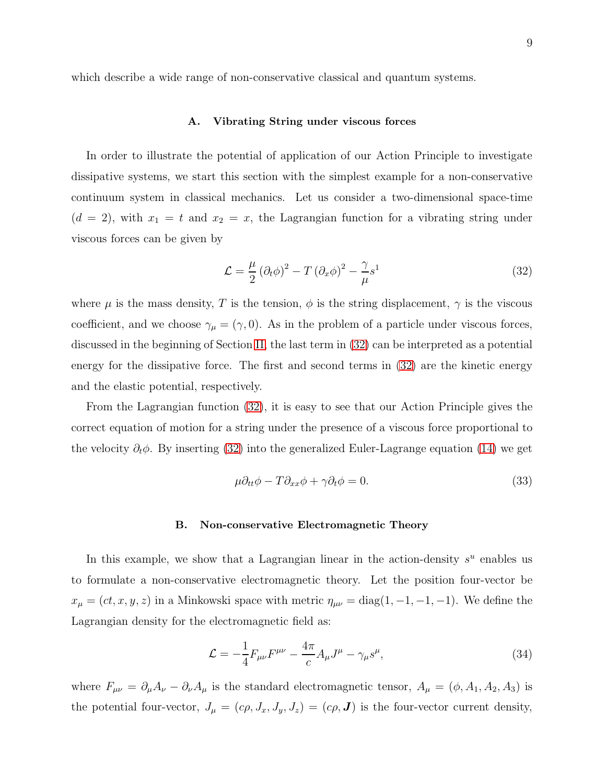#### A. Vibrating String under viscous forces

In order to illustrate the potential of application of our Action Principle to investigate dissipative systems, we start this section with the simplest example for a non-conservative continuum system in classical mechanics. Let us consider a two-dimensional space-time  $(d = 2)$ , with  $x_1 = t$  and  $x_2 = x$ , the Lagrangian function for a vibrating string under viscous forces can be given by

<span id="page-8-0"></span>
$$
\mathcal{L} = \frac{\mu}{2} \left( \partial_t \phi \right)^2 - T \left( \partial_x \phi \right)^2 - \frac{\gamma}{\mu} s^1 \tag{32}
$$

where  $\mu$  is the mass density, T is the tension,  $\phi$  is the string displacement,  $\gamma$  is the viscous coefficient, and we choose  $\gamma_{\mu} = (\gamma, 0)$ . As in the problem of a particle under viscous forces, discussed in the beginning of Section [II,](#page-2-0) the last term in [\(32\)](#page-8-0) can be interpreted as a potential energy for the dissipative force. The first and second terms in  $(32)$  are the kinetic energy and the elastic potential, respectively.

From the Lagrangian function [\(32\)](#page-8-0), it is easy to see that our Action Principle gives the correct equation of motion for a string under the presence of a viscous force proportional to the velocity  $\partial_t \phi$ . By inserting [\(32\)](#page-8-0) into the generalized Euler-Lagrange equation [\(14\)](#page-4-1) we get

$$
\mu \partial_{tt} \phi - T \partial_{xx} \phi + \gamma \partial_t \phi = 0. \tag{33}
$$

#### B. Non-conservative Electromagnetic Theory

In this example, we show that a Lagrangian linear in the action-density  $s^u$  enables us to formulate a non-conservative electromagnetic theory. Let the position four-vector be  $x_{\mu} = (ct, x, y, z)$  in a Minkowski space with metric  $\eta_{\mu\nu} = \text{diag}(1, -1, -1, -1)$ . We define the Lagrangian density for the electromagnetic field as:

<span id="page-8-1"></span>
$$
\mathcal{L} = -\frac{1}{4} F_{\mu\nu} F^{\mu\nu} - \frac{4\pi}{c} A_{\mu} J^{\mu} - \gamma_{\mu} s^{\mu}, \tag{34}
$$

where  $F_{\mu\nu} = \partial_{\mu}A_{\nu} - \partial_{\nu}A_{\mu}$  is the standard electromagnetic tensor,  $A_{\mu} = (\phi, A_1, A_2, A_3)$  is the potential four-vector,  $J_{\mu} = (c\rho, J_x, J_y, J_z) = (c\rho, \mathbf{J})$  is the four-vector current density,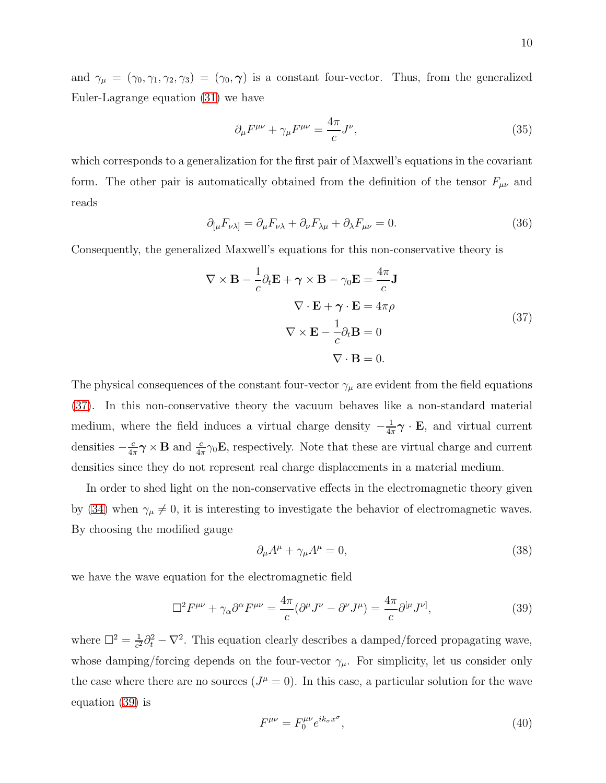and  $\gamma_{\mu} = (\gamma_0, \gamma_1, \gamma_2, \gamma_3) = (\gamma_0, \gamma)$  is a constant four-vector. Thus, from the generalized Euler-Lagrange equation [\(31\)](#page-7-3) we have

$$
\partial_{\mu}F^{\mu\nu} + \gamma_{\mu}F^{\mu\nu} = \frac{4\pi}{c}J^{\nu},\tag{35}
$$

which corresponds to a generalization for the first pair of Maxwell's equations in the covariant form. The other pair is automatically obtained from the definition of the tensor  $F_{\mu\nu}$  and reads

$$
\partial_{\mu}F_{\nu\lambda]} = \partial_{\mu}F_{\nu\lambda} + \partial_{\nu}F_{\lambda\mu} + \partial_{\lambda}F_{\mu\nu} = 0. \tag{36}
$$

<span id="page-9-0"></span>Consequently, the generalized Maxwell's equations for this non-conservative theory is

$$
\nabla \times \mathbf{B} - \frac{1}{c} \partial_t \mathbf{E} + \gamma \times \mathbf{B} - \gamma_0 \mathbf{E} = \frac{4\pi}{c} \mathbf{J}
$$
  

$$
\nabla \cdot \mathbf{E} + \gamma \cdot \mathbf{E} = 4\pi \rho
$$
  

$$
\nabla \times \mathbf{E} - \frac{1}{c} \partial_t \mathbf{B} = 0
$$
  

$$
\nabla \cdot \mathbf{B} = 0.
$$
 (37)

The physical consequences of the constant four-vector  $\gamma_{\mu}$  are evident from the field equations [\(37\)](#page-9-0). In this non-conservative theory the vacuum behaves like a non-standard material medium, where the field induces a virtual charge density  $-\frac{1}{4}$  $\frac{1}{4\pi}\gamma \cdot \mathbf{E}$ , and virtual current densities  $-\frac{c}{4a}$  $\frac{c}{4\pi}\gamma \times \mathbf{B}$  and  $\frac{c}{4\pi}\gamma_0 \mathbf{E}$ , respectively. Note that these are virtual charge and current densities since they do not represent real charge displacements in a material medium.

In order to shed light on the non-conservative effects in the electromagnetic theory given by [\(34\)](#page-8-1) when  $\gamma_{\mu} \neq 0$ , it is interesting to investigate the behavior of electromagnetic waves. By choosing the modified gauge

$$
\partial_{\mu}A^{\mu} + \gamma_{\mu}A^{\mu} = 0, \tag{38}
$$

we have the wave equation for the electromagnetic field

<span id="page-9-1"></span>
$$
\Box^2 F^{\mu\nu} + \gamma_\alpha \partial^\alpha F^{\mu\nu} = \frac{4\pi}{c} (\partial^\mu J^\nu - \partial^\nu J^\mu) = \frac{4\pi}{c} \partial^{[\mu} J^{\nu]},\tag{39}
$$

where  $\Box^2 = \frac{1}{c^2}$  $\frac{1}{c^2}\partial_t^2 - \nabla^2$ . This equation clearly describes a damped/forced propagating wave, whose damping/forcing depends on the four-vector  $\gamma_{\mu}$ . For simplicity, let us consider only the case where there are no sources  $(J^{\mu}=0)$ . In this case, a particular solution for the wave equation [\(39\)](#page-9-1) is

$$
F^{\mu\nu} = F_0^{\mu\nu} e^{ik_\sigma x^\sigma},\tag{40}
$$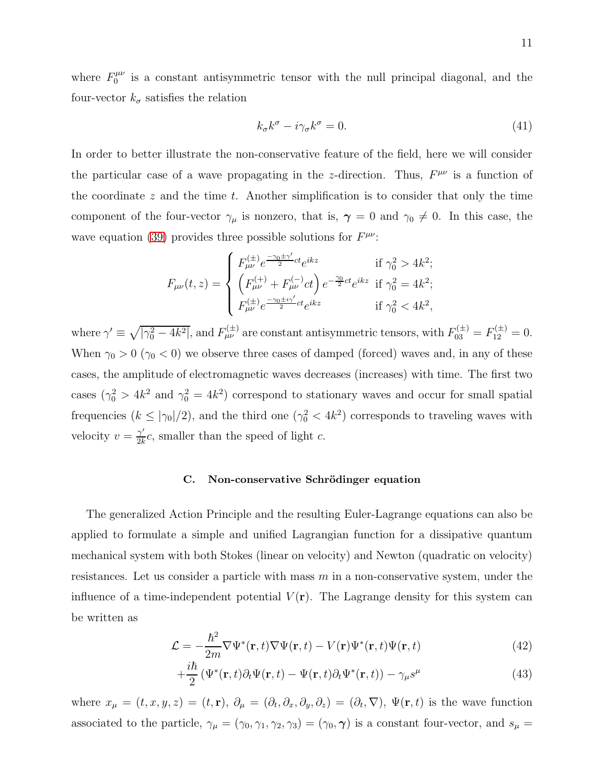where  $F_0^{\mu\nu}$  $\int_0^{\mu\nu}$  is a constant antisymmetric tensor with the null principal diagonal, and the four-vector  $k_{\sigma}$  satisfies the relation

$$
k_{\sigma}k^{\sigma} - i\gamma_{\sigma}k^{\sigma} = 0. \tag{41}
$$

In order to better illustrate the non-conservative feature of the field, here we will consider the particular case of a wave propagating in the z-direction. Thus,  $F^{\mu\nu}$  is a function of the coordinate  $z$  and the time  $t$ . Another simplification is to consider that only the time component of the four-vector  $\gamma_{\mu}$  is nonzero, that is,  $\gamma = 0$  and  $\gamma_0 \neq 0$ . In this case, the wave equation [\(39\)](#page-9-1) provides three possible solutions for  $F^{\mu\nu}$ :

$$
F_{\mu\nu}(t,z) = \begin{cases} F_{\mu\nu}^{(\pm)} e^{\frac{-\gamma_0 \pm \gamma'}{2}ct} e^{ikz} & \text{if } \gamma_0^2 > 4k^2; \\ \left( F_{\mu\nu}^{(+)} + F_{\mu\nu}^{(-)} ct \right) e^{-\frac{\gamma_0}{2}ct} e^{ikz} & \text{if } \gamma_0^2 = 4k^2; \\ F_{\mu\nu}^{(\pm)} e^{\frac{-\gamma_0 \pm i\gamma'}{2}ct} e^{ikz} & \text{if } \gamma_0^2 < 4k^2, \end{cases}
$$

where  $\gamma' \equiv \sqrt{|\gamma_0^2 - 4k^2|}$ , and  $F_{\mu\nu}^{(\pm)}$  are constant antisymmetric tensors, with  $F_{03}^{(\pm)} = F_{12}^{(\pm)} = 0$ . When  $\gamma_0 > 0$  ( $\gamma_0 < 0$ ) we observe three cases of damped (forced) waves and, in any of these cases, the amplitude of electromagnetic waves decreases (increases) with time. The first two cases  $(\gamma_0^2 > 4k^2$  and  $\gamma_0^2 = 4k^2$ ) correspond to stationary waves and occur for small spatial frequencies  $(k \leq |\gamma_0|/2)$ , and the third one  $(\gamma_0^2 < 4k^2)$  corresponds to traveling waves with velocity  $v = \frac{\gamma'}{2k}$  $\frac{\gamma}{2k}c$ , smaller than the speed of light c.

#### C. Non-conservative Schrödinger equation

The generalized Action Principle and the resulting Euler-Lagrange equations can also be applied to formulate a simple and unified Lagrangian function for a dissipative quantum mechanical system with both Stokes (linear on velocity) and Newton (quadratic on velocity) resistances. Let us consider a particle with mass  $m$  in a non-conservative system, under the influence of a time-independent potential  $V(\mathbf{r})$ . The Lagrange density for this system can be written as

<span id="page-10-0"></span>
$$
\mathcal{L} = -\frac{\hbar^2}{2m} \nabla \Psi^*(\mathbf{r}, t) \nabla \Psi(\mathbf{r}, t) - V(\mathbf{r}) \Psi^*(\mathbf{r}, t) \Psi(\mathbf{r}, t)
$$
(42)

$$
+\frac{i\hbar}{2}\left(\Psi^*(\mathbf{r},t)\partial_t\Psi(\mathbf{r},t)-\Psi(\mathbf{r},t)\partial_t\Psi^*(\mathbf{r},t)\right)-\gamma_\mu s^\mu\tag{43}
$$

where  $x_{\mu} = (t, x, y, z) = (t, r), \ \partial_{\mu} = (\partial_t, \partial_x, \partial_y, \partial_z) = (\partial_t, \nabla), \ \Psi(\mathbf{r}, t)$  is the wave function associated to the particle,  $\gamma_{\mu} = (\gamma_0, \gamma_1, \gamma_2, \gamma_3) = (\gamma_0, \gamma)$  is a constant four-vector, and  $s_{\mu} =$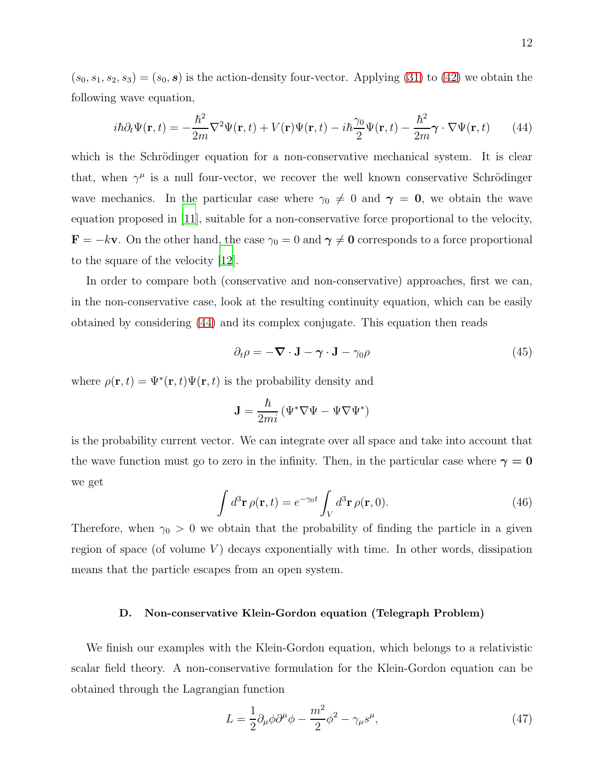$(s_0, s_1, s_2, s_3) = (s_0, s)$  is the action-density four-vector. Applying [\(31\)](#page-7-3) to [\(42\)](#page-10-0) we obtain the following wave equation,

<span id="page-11-0"></span>
$$
i\hbar \partial_t \Psi(\mathbf{r},t) = -\frac{\hbar^2}{2m} \nabla^2 \Psi(\mathbf{r},t) + V(\mathbf{r}) \Psi(\mathbf{r},t) - i\hbar \frac{\gamma_0}{2} \Psi(\mathbf{r},t) - \frac{\hbar^2}{2m} \gamma \cdot \nabla \Psi(\mathbf{r},t) \tag{44}
$$

which is the Schrödinger equation for a non-conservative mechanical system. It is clear that, when  $\gamma^{\mu}$  is a null four-vector, we recover the well known conservative Schrödinger wave mechanics. In the particular case where  $\gamma_0 \neq 0$  and  $\gamma = 0$ , we obtain the wave equation proposed in [\[11\]](#page-13-9), suitable for a non-conservative force proportional to the velocity,  $\mathbf{F} = -k\mathbf{v}$ . On the other hand, the case  $\gamma_0 = 0$  and  $\gamma \neq 0$  corresponds to a force proportional to the square of the velocity [\[12\]](#page-13-10).

In order to compare both (conservative and non-conservative) approaches, first we can, in the non-conservative case, look at the resulting continuity equation, which can be easily obtained by considering [\(44\)](#page-11-0) and its complex conjugate. This equation then reads

$$
\partial_t \rho = -\nabla \cdot \mathbf{J} - \gamma \cdot \mathbf{J} - \gamma_0 \rho \tag{45}
$$

where  $\rho(\mathbf{r},t) = \Psi^*(\mathbf{r},t)\Psi(\mathbf{r},t)$  is the probability density and

$$
\mathbf{J}=\frac{\hbar}{2mi}\left(\Psi^*\nabla\Psi-\Psi\nabla\Psi^*\right)
$$

is the probability current vector. We can integrate over all space and take into account that the wave function must go to zero in the infinity. Then, in the particular case where  $\gamma = 0$ we get

$$
\int d^3 \mathbf{r} \,\rho(\mathbf{r},t) = e^{-\gamma_0 t} \int_V d^3 \mathbf{r} \,\rho(\mathbf{r},0). \tag{46}
$$

Therefore, when  $\gamma_0 > 0$  we obtain that the probability of finding the particle in a given region of space (of volume  $V$ ) decays exponentially with time. In other words, dissipation means that the particle escapes from an open system.

## D. Non-conservative Klein-Gordon equation (Telegraph Problem)

We finish our examples with the Klein-Gordon equation, which belongs to a relativistic scalar field theory. A non-conservative formulation for the Klein-Gordon equation can be obtained through the Lagrangian function

$$
L = \frac{1}{2} \partial_{\mu} \phi \partial^{\mu} \phi - \frac{m^2}{2} \phi^2 - \gamma_{\mu} s^{\mu}, \qquad (47)
$$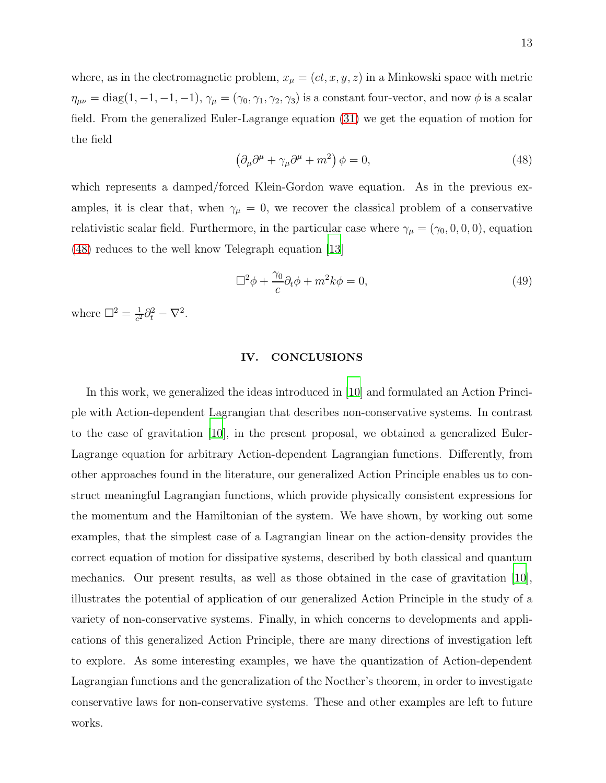where, as in the electromagnetic problem,  $x_{\mu} = (ct, x, y, z)$  in a Minkowski space with metric  $\eta_{\mu\nu} = \text{diag}(1, -1, -1, -1), \gamma_{\mu} = (\gamma_0, \gamma_1, \gamma_2, \gamma_3)$  is a constant four-vector, and now  $\phi$  is a scalar field. From the generalized Euler-Lagrange equation [\(31\)](#page-7-3) we get the equation of motion for the field

<span id="page-12-1"></span>
$$
\left(\partial_{\mu}\partial^{\mu} + \gamma_{\mu}\partial^{\mu} + m^{2}\right)\phi = 0, \tag{48}
$$

which represents a damped/forced Klein-Gordon wave equation. As in the previous examples, it is clear that, when  $\gamma_{\mu} = 0$ , we recover the classical problem of a conservative relativistic scalar field. Furthermore, in the particular case where  $\gamma_{\mu} = (\gamma_0, 0, 0, 0)$ , equation [\(48\)](#page-12-1) reduces to the well know Telegraph equation [\[13](#page-14-0)]

$$
\Box^2 \phi + \frac{\gamma_0}{c} \partial_t \phi + m^2 k \phi = 0, \qquad (49)
$$

where  $\Box^2 = \frac{1}{c^2}$  $\frac{1}{c^2}\partial_t^2-\nabla^2.$ 

### <span id="page-12-0"></span>IV. CONCLUSIONS

In this work, we generalized the ideas introduced in [\[10\]](#page-13-7) and formulated an Action Principle with Action-dependent Lagrangian that describes non-conservative systems. In contrast to the case of gravitation [\[10](#page-13-7)], in the present proposal, we obtained a generalized Euler-Lagrange equation for arbitrary Action-dependent Lagrangian functions. Differently, from other approaches found in the literature, our generalized Action Principle enables us to construct meaningful Lagrangian functions, which provide physically consistent expressions for the momentum and the Hamiltonian of the system. We have shown, by working out some examples, that the simplest case of a Lagrangian linear on the action-density provides the correct equation of motion for dissipative systems, described by both classical and quantum mechanics. Our present results, as well as those obtained in the case of gravitation [\[10\]](#page-13-7), illustrates the potential of application of our generalized Action Principle in the study of a variety of non-conservative systems. Finally, in which concerns to developments and applications of this generalized Action Principle, there are many directions of investigation left to explore. As some interesting examples, we have the quantization of Action-dependent Lagrangian functions and the generalization of the Noether's theorem, in order to investigate conservative laws for non-conservative systems. These and other examples are left to future works.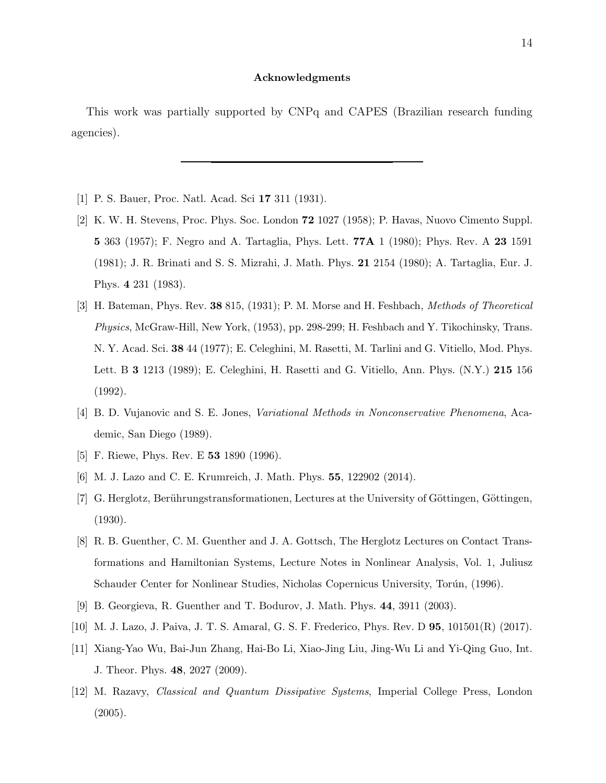#### Acknowledgments

This work was partially supported by CNPq and CAPES (Brazilian research funding agencies).

- <span id="page-13-1"></span><span id="page-13-0"></span>[1] P. S. Bauer, Proc. Natl. Acad. Sci 17 311 (1931).
- [2] K. W. H. Stevens, Proc. Phys. Soc. London 72 1027 (1958); P. Havas, Nuovo Cimento Suppl. 5 363 (1957); F. Negro and A. Tartaglia, Phys. Lett. 77A 1 (1980); Phys. Rev. A 23 1591 (1981); J. R. Brinati and S. S. Mizrahi, J. Math. Phys. 21 2154 (1980); A. Tartaglia, Eur. J. Phys. 4 231 (1983).
- <span id="page-13-2"></span>[3] H. Bateman, Phys. Rev. 38 815, (1931); P. M. Morse and H. Feshbach, Methods of Theoretical Physics, McGraw-Hill, New York, (1953), pp. 298-299; H. Feshbach and Y. Tikochinsky, Trans. N. Y. Acad. Sci. 38 44 (1977); E. Celeghini, M. Rasetti, M. Tarlini and G. Vitiello, Mod. Phys. Lett. B 3 1213 (1989); E. Celeghini, H. Rasetti and G. Vitiello, Ann. Phys. (N.Y.) 215 156 (1992).
- [4] B. D. Vujanovic and S. E. Jones, Variational Methods in Nonconservative Phenomena, Academic, San Diego (1989).
- <span id="page-13-3"></span>[5] F. Riewe, Phys. Rev. E 53 1890 (1996).
- <span id="page-13-4"></span>[6] M. J. Lazo and C. E. Krumreich, J. Math. Phys. 55, 122902 (2014).
- <span id="page-13-5"></span>[7] G. Herglotz, Berührungstransformationen, Lectures at the University of Göttingen, Göttingen, (1930).
- <span id="page-13-8"></span>[8] R. B. Guenther, C. M. Guenther and J. A. Gottsch, The Herglotz Lectures on Contact Transformations and Hamiltonian Systems, Lecture Notes in Nonlinear Analysis, Vol. 1, Juliusz Schauder Center for Nonlinear Studies, Nicholas Copernicus University, Torún, (1996).
- <span id="page-13-6"></span>[9] B. Georgieva, R. Guenther and T. Bodurov, J. Math. Phys. 44, 3911 (2003).
- <span id="page-13-7"></span>[10] M. J. Lazo, J. Paiva, J. T. S. Amaral, G. S. F. Frederico, Phys. Rev. D 95, 101501(R) (2017).
- <span id="page-13-9"></span>[11] Xiang-Yao Wu, Bai-Jun Zhang, Hai-Bo Li, Xiao-Jing Liu, Jing-Wu Li and Yi-Qing Guo, Int. J. Theor. Phys. 48, 2027 (2009).
- <span id="page-13-10"></span>[12] M. Razavy, Classical and Quantum Dissipative Systems, Imperial College Press, London (2005).